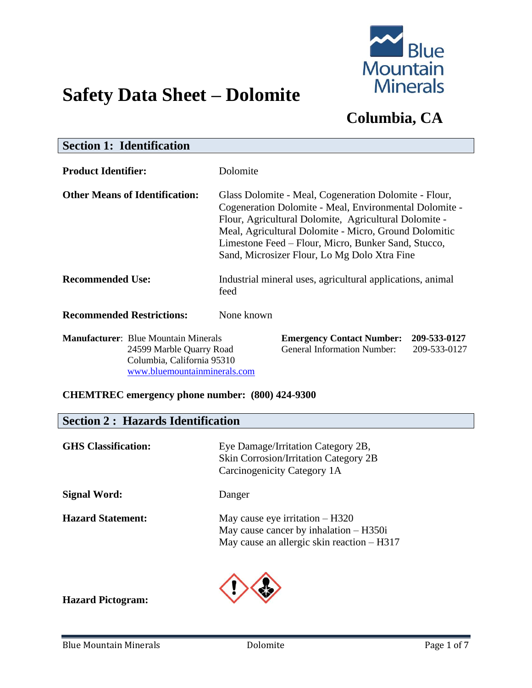

# **Safety Data Sheet – Dolomite**

## **Columbia, CA**

| <b>Section 1: Identification</b>                                                                                                      |                                                                                                                                                                                                                                                                                                                                          |  |
|---------------------------------------------------------------------------------------------------------------------------------------|------------------------------------------------------------------------------------------------------------------------------------------------------------------------------------------------------------------------------------------------------------------------------------------------------------------------------------------|--|
| <b>Product Identifier:</b>                                                                                                            | Dolomite                                                                                                                                                                                                                                                                                                                                 |  |
| <b>Other Means of Identification:</b>                                                                                                 | Glass Dolomite - Meal, Cogeneration Dolomite - Flour,<br>Cogeneration Dolomite - Meal, Environmental Dolomite -<br>Flour, Agricultural Dolomite, Agricultural Dolomite -<br>Meal, Agricultural Dolomite - Micro, Ground Dolomitic<br>Limestone Feed – Flour, Micro, Bunker Sand, Stucco,<br>Sand, Microsizer Flour, Lo Mg Dolo Xtra Fine |  |
| <b>Recommended Use:</b>                                                                                                               | Industrial mineral uses, agricultural applications, animal<br>feed                                                                                                                                                                                                                                                                       |  |
| <b>Recommended Restrictions:</b>                                                                                                      | None known                                                                                                                                                                                                                                                                                                                               |  |
| <b>Manufacturer:</b> Blue Mountain Minerals<br>24599 Marble Quarry Road<br>Columbia, California 95310<br>www.bluemountainminerals.com | <b>Emergency Contact Number:</b><br>209-533-0127<br><b>General Information Number:</b><br>209-533-0127                                                                                                                                                                                                                                   |  |
| <b>CHEMTREC</b> emergency phone number: (800) 424-9300                                                                                |                                                                                                                                                                                                                                                                                                                                          |  |

| <b>Section 2: Hazards Identification</b> |                                                                                                                             |
|------------------------------------------|-----------------------------------------------------------------------------------------------------------------------------|
| <b>GHS</b> Classification:               | Eye Damage/Irritation Category 2B,<br><b>Skin Corrosion/Irritation Category 2B</b><br>Carcinogenicity Category 1A           |
| <b>Signal Word:</b>                      | Danger                                                                                                                      |
| <b>Hazard Statement:</b>                 | May cause eye irritation $- H320$<br>May cause cancer by inhalation $-$ H350i<br>May cause an allergic skin reaction – H317 |
| <b>Hazard Pictogram:</b>                 |                                                                                                                             |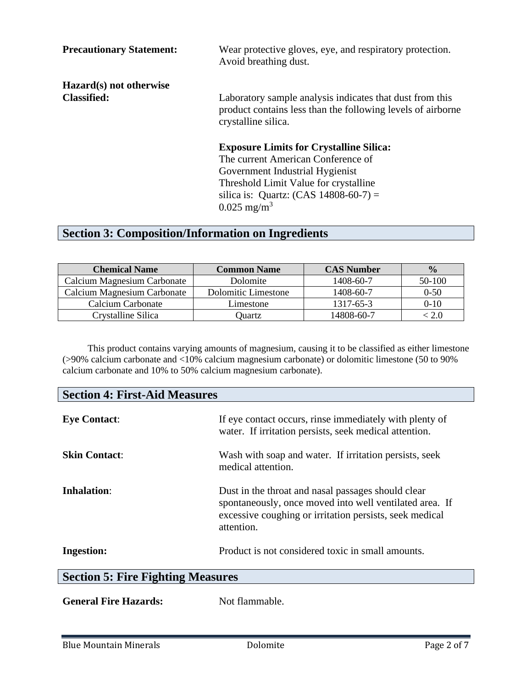| <b>Precautionary Statement:</b> | Wear protective gloves, eye, and respiratory protection.<br>Avoid breathing dust.                                                              |
|---------------------------------|------------------------------------------------------------------------------------------------------------------------------------------------|
| Hazard(s) not otherwise         |                                                                                                                                                |
| <b>Classified:</b>              | Laboratory sample analysis indicates that dust from this<br>product contains less than the following levels of airborne<br>crystalline silica. |
|                                 | <b>Exposure Limits for Crystalline Silica:</b>                                                                                                 |
|                                 | The current American Conference of                                                                                                             |
|                                 | Government Industrial Hygienist                                                                                                                |
|                                 | Threshold Limit Value for crystalline                                                                                                          |
|                                 | silica is: Quartz: $(CAS 14808-60-7) =$                                                                                                        |
|                                 | $0.025$ mg/m <sup>3</sup>                                                                                                                      |

## **Section 3: Composition/Information on Ingredients**

| <b>Chemical Name</b>        | <b>Common Name</b>  | <b>CAS Number</b> | $\frac{0}{0}$ |
|-----------------------------|---------------------|-------------------|---------------|
| Calcium Magnesium Carbonate | Dolomite            | 1408-60-7         | $50-100$      |
| Calcium Magnesium Carbonate | Dolomitic Limestone | 1408-60-7         | $0-50$        |
| Calcium Carbonate           | Limestone           | 1317-65-3         | $0-10$        |
| Crystalline Silica          | Ouartz              | 14808-60-7        |               |

This product contains varying amounts of magnesium, causing it to be classified as either limestone (>90% calcium carbonate and <10% calcium magnesium carbonate) or dolomitic limestone (50 to 90% calcium carbonate and 10% to 50% calcium magnesium carbonate).

| <b>Section 4: First-Aid Measures</b>     |                                                                                                                                                                                        |  |
|------------------------------------------|----------------------------------------------------------------------------------------------------------------------------------------------------------------------------------------|--|
| <b>Eye Contact:</b>                      | If eye contact occurs, rinse immediately with plenty of<br>water. If irritation persists, seek medical attention.                                                                      |  |
| <b>Skin Contact:</b>                     | Wash with soap and water. If irritation persists, seek<br>medical attention.                                                                                                           |  |
| Inhalation:                              | Dust in the throat and nasal passages should clear<br>spontaneously, once moved into well ventilated area. If<br>excessive coughing or irritation persists, seek medical<br>attention. |  |
| <b>Ingestion:</b>                        | Product is not considered toxic in small amounts.                                                                                                                                      |  |
| <b>Section 5: Fire Fighting Measures</b> |                                                                                                                                                                                        |  |
|                                          |                                                                                                                                                                                        |  |

| <b>General Fire Hazards:</b> | Not flammable. |
|------------------------------|----------------|
|------------------------------|----------------|

 $\overline{\phantom{0}}$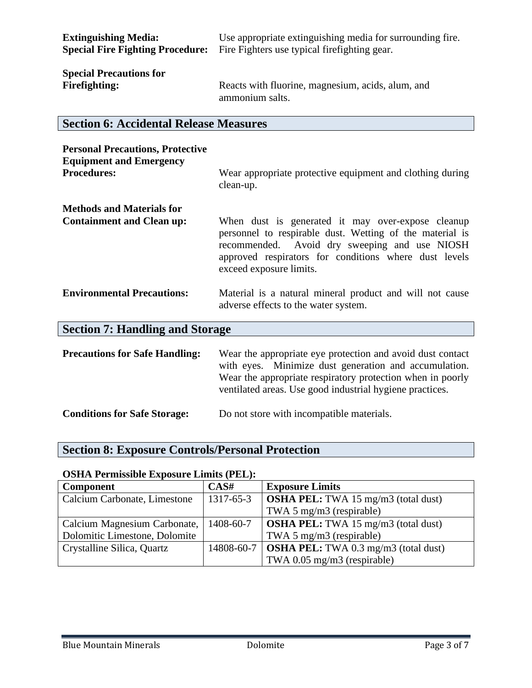| <b>Extinguishing Media:</b>                                                             | Use appropriate extinguishing media for surrounding fire.                            |
|-----------------------------------------------------------------------------------------|--------------------------------------------------------------------------------------|
|                                                                                         | <b>Special Fire Fighting Procedure:</b> Fire Fighters use typical firefighting gear. |
| $\mathcal{C}_{\mathbf{m}}$ onto $\mathbf{D}_{\mathbf{m}}$ and $\mathbf{L}_{\mathbf{m}}$ |                                                                                      |

**Special Precautions for** 

**Firefighting:** Reacts with fluorine, magnesium, acids, alum, and ammonium salts.

#### **Section 6: Accidental Release Measures**

| <b>Personal Precautions, Protective</b><br><b>Equipment and Emergency</b> |                                                                                                                                                                                                                                                                                                                                                          |  |
|---------------------------------------------------------------------------|----------------------------------------------------------------------------------------------------------------------------------------------------------------------------------------------------------------------------------------------------------------------------------------------------------------------------------------------------------|--|
| <b>Procedures:</b>                                                        | Wear appropriate protective equipment and clothing during<br>clean-up.                                                                                                                                                                                                                                                                                   |  |
| <b>Methods and Materials for</b>                                          |                                                                                                                                                                                                                                                                                                                                                          |  |
| <b>Containment and Clean up:</b>                                          | When dust is generated it may over-expose cleanup<br>personnel to respirable dust. Wetting of the material is<br>recommended. Avoid dry sweeping and use NIOSH<br>approved respirators for conditions where dust levels<br>exceed exposure limits.                                                                                                       |  |
| <b>Environmental Precautions:</b>                                         | Material is a natural mineral product and will not cause<br>adverse effects to the water system.                                                                                                                                                                                                                                                         |  |
| <b>Section 7: Handling and Storage</b>                                    |                                                                                                                                                                                                                                                                                                                                                          |  |
|                                                                           | $\mathbf{D}$ and $\mathbf{A}^{\bullet}$ and $\mathbf{C}$ and $\mathbf{H}^{\bullet}$ and $\mathbf{W}^{\bullet}$ and $\mathbf{H}^{\bullet}$ and $\mathbf{H}^{\bullet}$ and $\mathbf{H}^{\bullet}$ and $\mathbf{H}^{\bullet}$ and $\mathbf{H}^{\bullet}$ and $\mathbf{H}^{\bullet}$ and $\mathbf{H}^{\bullet}$ and $\mathbf{H}^{\bullet}$ and $\mathbf{H}^$ |  |

**Precautions for Safe Handling:** Wear the appropriate eye protection and avoid dust contact with eyes. Minimize dust generation and accumulation. Wear the appropriate respiratory protection when in poorly ventilated areas. Use good industrial hygiene practices.

**Conditions for Safe Storage:** Do not store with incompatible materials.

#### **Section 8: Exposure Controls/Personal Protection**

#### **OSHA Permissible Exposure Limits (PEL):**

| <b>Component</b>              | CAS#      | <b>Exposure Limits</b>                                   |
|-------------------------------|-----------|----------------------------------------------------------|
| Calcium Carbonate, Limestone  | 1317-65-3 | $\sim$ <b>OSHA PEL:</b> TWA 15 mg/m3 (total dust)        |
|                               |           | TWA 5 mg/m3 (respirable)                                 |
| Calcium Magnesium Carbonate,  | 1408-60-7 | $\sim$ <b>OSHA PEL:</b> TWA 15 mg/m3 (total dust)        |
| Dolomitic Limestone, Dolomite |           | TWA 5 mg/m3 (respirable)                                 |
| Crystalline Silica, Quartz    |           | 14808-60-7   <b>OSHA PEL:</b> TWA 0.3 mg/m3 (total dust) |
|                               |           | TWA $0.05$ mg/m3 (respirable)                            |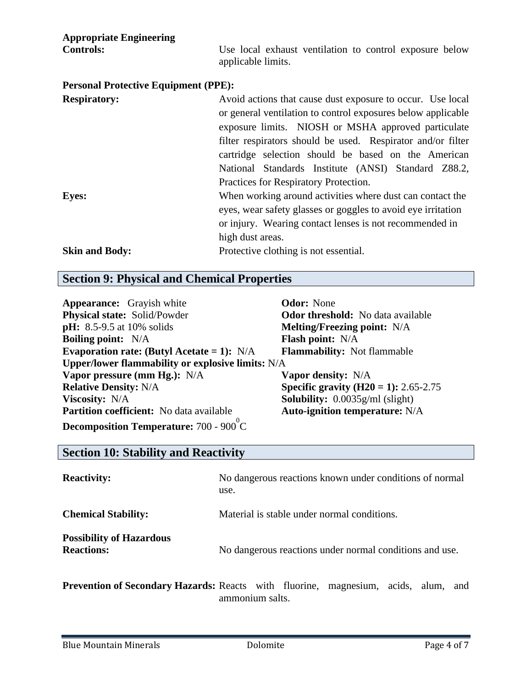| <b>Appropriate Engineering</b><br><b>Controls:</b> | Use local exhaust ventilation to control exposure below<br>applicable limits.                                                                                                                                                                                                                                                                                                                           |
|----------------------------------------------------|---------------------------------------------------------------------------------------------------------------------------------------------------------------------------------------------------------------------------------------------------------------------------------------------------------------------------------------------------------------------------------------------------------|
| <b>Personal Protective Equipment (PPE):</b>        |                                                                                                                                                                                                                                                                                                                                                                                                         |
| <b>Respiratory:</b>                                | Avoid actions that cause dust exposure to occur. Use local<br>or general ventilation to control exposures below applicable<br>exposure limits. NIOSH or MSHA approved particulate<br>filter respirators should be used. Respirator and/or filter<br>cartridge selection should be based on the American<br>National Standards Institute (ANSI) Standard Z88.2,<br>Practices for Respiratory Protection. |
| <b>Eyes:</b>                                       | When working around activities where dust can contact the<br>eyes, wear safety glasses or goggles to avoid eye irritation<br>or injury. Wearing contact lenses is not recommended in<br>high dust areas.                                                                                                                                                                                                |
| <b>Skin and Body:</b>                              | Protective clothing is not essential.                                                                                                                                                                                                                                                                                                                                                                   |

### **Section 9: Physical and Chemical Properties**

| <b>Appearance:</b> Grayish white                  | <b>Odor:</b> None                            |
|---------------------------------------------------|----------------------------------------------|
| Physical state: Solid/Powder                      | <b>Odor threshold:</b> No data available     |
| <b>pH:</b> 8.5-9.5 at 10% solids                  | <b>Melting/Freezing point:</b> N/A           |
| <b>Boiling point:</b> N/A                         | Flash point: N/A                             |
| Evaporation rate: (Butyl Acetate = 1): $N/A$      | <b>Flammability:</b> Not flammable           |
| Upper/lower flammability or explosive limits: N/A |                                              |
| Vapor pressure (mm Hg.): N/A                      | <b>Vapor density:</b> N/A                    |
| <b>Relative Density: N/A</b>                      | <b>Specific gravity (H20 = 1):</b> 2.65-2.75 |
| <b>Viscosity:</b> N/A                             | <b>Solubility:</b> $0.0035g/ml$ (slight)     |
| <b>Partition coefficient:</b> No data available   | <b>Auto-ignition temperature:</b> N/A        |
| <b>Decomposition Temperature:</b> 700 - 900 °C    |                                              |

### **Section 10: Stability and Reactivity**

| <b>Reactivity:</b>                                   | No dangerous reactions known under conditions of normal<br>use. |
|------------------------------------------------------|-----------------------------------------------------------------|
| <b>Chemical Stability:</b>                           | Material is stable under normal conditions.                     |
| <b>Possibility of Hazardous</b><br><b>Reactions:</b> | No dangerous reactions under normal conditions and use.         |

**Prevention of Secondary Hazards:** Reacts with fluorine, magnesium, acids, alum, and ammonium salts.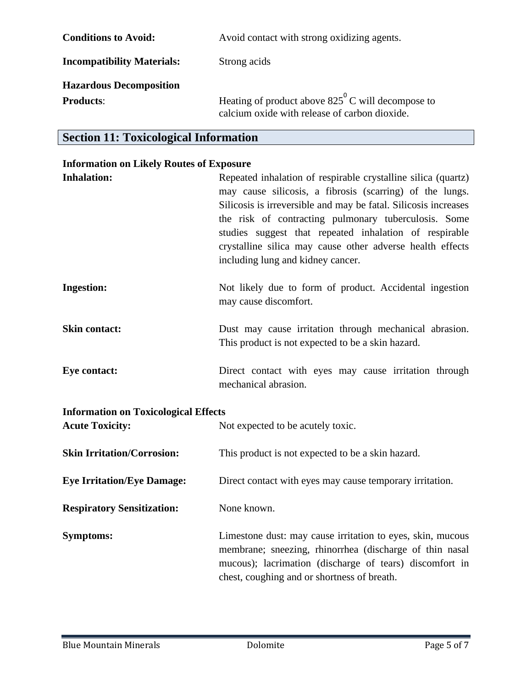| <b>Conditions to Avoid:</b>       | Avoid contact with strong oxidizing agents.                                                                 |
|-----------------------------------|-------------------------------------------------------------------------------------------------------------|
| <b>Incompatibility Materials:</b> | Strong acids                                                                                                |
| <b>Hazardous Decomposition</b>    |                                                                                                             |
| <b>Products:</b>                  | Heating of product above $825^{\circ}$ C will decompose to<br>calcium oxide with release of carbon dioxide. |

## **Section 11: Toxicological Information**

## **Information on Likely Routes of Exposure**

| <b>Inhalation:</b>                          | Repeated inhalation of respirable crystalline silica (quartz)<br>may cause silicosis, a fibrosis (scarring) of the lungs.<br>Silicosis is irreversible and may be fatal. Silicosis increases<br>the risk of contracting pulmonary tuberculosis. Some<br>studies suggest that repeated inhalation of respirable<br>crystalline silica may cause other adverse health effects<br>including lung and kidney cancer. |
|---------------------------------------------|------------------------------------------------------------------------------------------------------------------------------------------------------------------------------------------------------------------------------------------------------------------------------------------------------------------------------------------------------------------------------------------------------------------|
| <b>Ingestion:</b>                           | Not likely due to form of product. Accidental ingestion<br>may cause discomfort.                                                                                                                                                                                                                                                                                                                                 |
| <b>Skin contact:</b>                        | Dust may cause irritation through mechanical abrasion.<br>This product is not expected to be a skin hazard.                                                                                                                                                                                                                                                                                                      |
| <b>Eye contact:</b>                         | Direct contact with eyes may cause irritation through<br>mechanical abrasion.                                                                                                                                                                                                                                                                                                                                    |
| <b>Information on Toxicological Effects</b> |                                                                                                                                                                                                                                                                                                                                                                                                                  |
| <b>Acute Toxicity:</b>                      | Not expected to be acutely toxic.                                                                                                                                                                                                                                                                                                                                                                                |
| <b>Skin Irritation/Corrosion:</b>           | This product is not expected to be a skin hazard.                                                                                                                                                                                                                                                                                                                                                                |
| <b>Eye Irritation/Eye Damage:</b>           | Direct contact with eyes may cause temporary irritation.                                                                                                                                                                                                                                                                                                                                                         |
| <b>Respiratory Sensitization:</b>           | None known.                                                                                                                                                                                                                                                                                                                                                                                                      |
| <b>Symptoms:</b>                            | Limestone dust: may cause irritation to eyes, skin, mucous<br>membrane; sneezing, rhinorrhea (discharge of thin nasal<br>mucous); lacrimation (discharge of tears) discomfort in<br>chest, coughing and or shortness of breath.                                                                                                                                                                                  |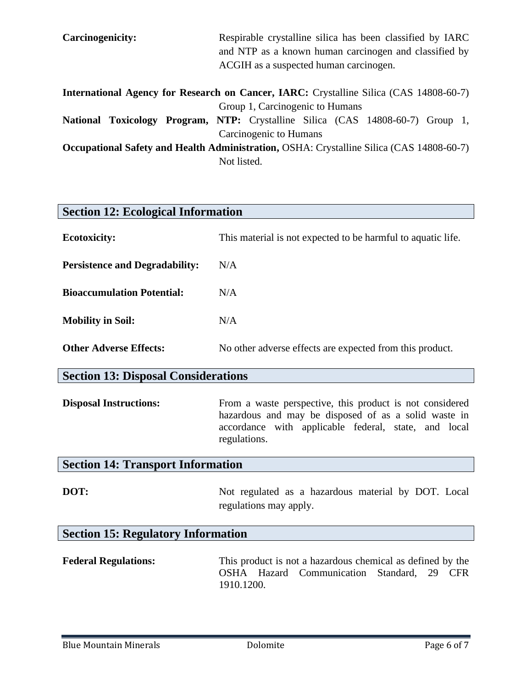| <b>Carcinogenicity:</b>                                                                         | Respirable crystalline silica has been classified by IARC                      |  |
|-------------------------------------------------------------------------------------------------|--------------------------------------------------------------------------------|--|
|                                                                                                 | and NTP as a known human carcinogen and classified by                          |  |
|                                                                                                 | ACGIH as a suspected human carcinogen.                                         |  |
| <b>International Agency for Research on Cancer, IARC:</b> Crystalline Silica (CAS 14808-60-7)   |                                                                                |  |
|                                                                                                 | Group 1, Carcinogenic to Humans                                                |  |
|                                                                                                 | National Toxicology Program, NTP: Crystalline Silica (CAS 14808-60-7) Group 1, |  |
|                                                                                                 | Carcinogenic to Humans                                                         |  |
| <b>Occupational Safety and Health Administration, OSHA: Crystalline Silica (CAS 14808-60-7)</b> |                                                                                |  |
|                                                                                                 | Not listed.                                                                    |  |

| <b>Section 12: Ecological Information</b>  |                                                                                                                                                                                          |  |
|--------------------------------------------|------------------------------------------------------------------------------------------------------------------------------------------------------------------------------------------|--|
| <b>Ecotoxicity:</b>                        | This material is not expected to be harmful to aquatic life.                                                                                                                             |  |
| <b>Persistence and Degradability:</b>      | N/A                                                                                                                                                                                      |  |
| <b>Bioaccumulation Potential:</b>          | N/A                                                                                                                                                                                      |  |
| <b>Mobility in Soil:</b>                   | N/A                                                                                                                                                                                      |  |
| <b>Other Adverse Effects:</b>              | No other adverse effects are expected from this product.                                                                                                                                 |  |
| <b>Section 13: Disposal Considerations</b> |                                                                                                                                                                                          |  |
| <b>Disposal Instructions:</b>              | From a waste perspective, this product is not considered<br>hazardous and may be disposed of as a solid waste in<br>accordance with applicable federal, state, and local<br>regulations. |  |
| <b>Section 14: Transport Information</b>   |                                                                                                                                                                                          |  |
| DOT:                                       | Not regulated as a hazardous material by DOT. Local<br>regulations may apply.                                                                                                            |  |
| <b>Section 15: Regulatory Information</b>  |                                                                                                                                                                                          |  |
| <b>Federal Regulations:</b>                | This product is not a hazardous chemical as defined by the<br>OSHA Hazard<br>Communication<br>Standard,<br>29 CFR<br>1910.1200.                                                          |  |